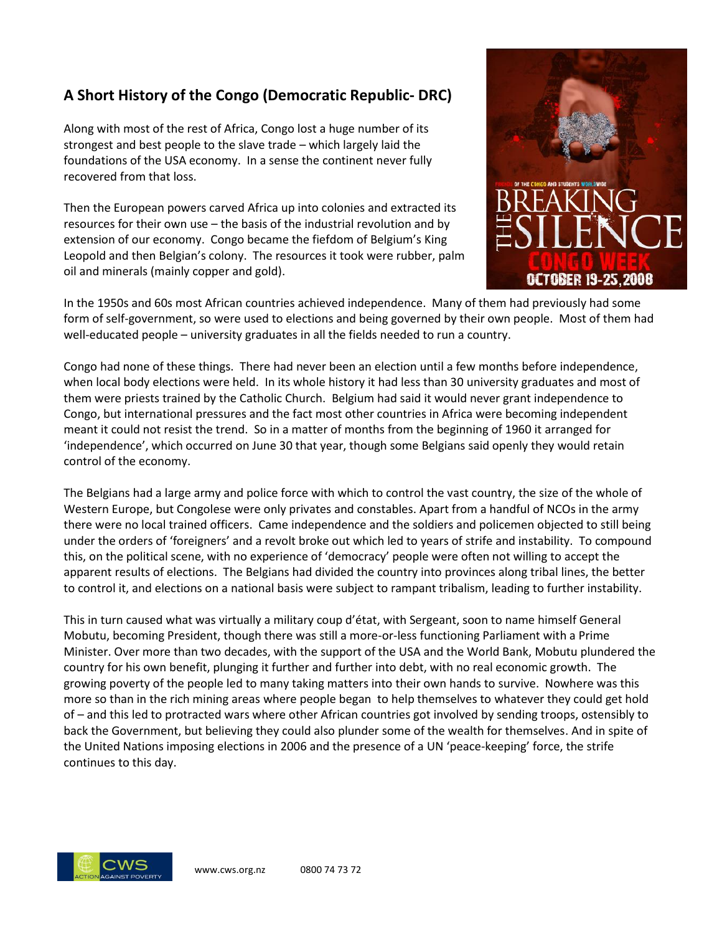## **A Short History of the Congo (Democratic Republic- DRC)**

Along with most of the rest of Africa, Congo lost a huge number of its strongest and best people to the slave trade – which largely laid the foundations of the USA economy. In a sense the continent never fully recovered from that loss.

Then the European powers carved Africa up into colonies and extracted its resources for their own use – the basis of the industrial revolution and by extension of our economy. Congo became the fiefdom of Belgium's King Leopold and then Belgian's colony. The resources it took were rubber, palm oil and minerals (mainly copper and gold).



In the 1950s and 60s most African countries achieved independence. Many of them had previously had some form of self-government, so were used to elections and being governed by their own people. Most of them had well-educated people – university graduates in all the fields needed to run a country.

Congo had none of these things. There had never been an election until a few months before independence, when local body elections were held. In its whole history it had less than 30 university graduates and most of them were priests trained by the Catholic Church. Belgium had said it would never grant independence to Congo, but international pressures and the fact most other countries in Africa were becoming independent meant it could not resist the trend. So in a matter of months from the beginning of 1960 it arranged for 'independence', which occurred on June 30 that year, though some Belgians said openly they would retain control of the economy.

The Belgians had a large army and police force with which to control the vast country, the size of the whole of Western Europe, but Congolese were only privates and constables. Apart from a handful of NCOs in the army there were no local trained officers. Came independence and the soldiers and policemen objected to still being under the orders of 'foreigners' and a revolt broke out which led to years of strife and instability. To compound this, on the political scene, with no experience of 'democracy' people were often not willing to accept the apparent results of elections. The Belgians had divided the country into provinces along tribal lines, the better to control it, and elections on a national basis were subject to rampant tribalism, leading to further instability.

This in turn caused what was virtually a military coup d'état, with Sergeant, soon to name himself General Mobutu, becoming President, though there was still a more-or-less functioning Parliament with a Prime Minister. Over more than two decades, with the support of the USA and the World Bank, Mobutu plundered the country for his own benefit, plunging it further and further into debt, with no real economic growth. The growing poverty of the people led to many taking matters into their own hands to survive. Nowhere was this more so than in the rich mining areas where people began to help themselves to whatever they could get hold of – and this led to protracted wars where other African countries got involved by sending troops, ostensibly to back the Government, but believing they could also plunder some of the wealth for themselves. And in spite of the United Nations imposing elections in 2006 and the presence of a UN 'peace-keeping' force, the strife continues to this day.